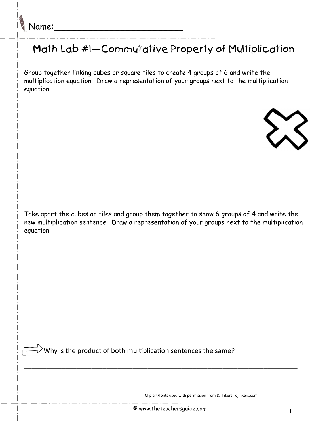## Math Lab #1—Commutative Property of Multiplication

Group together linking cubes or square tiles to create 4 groups of 6 and write the multiplication equation. Draw a representation of your groups next to the multiplication equation.



Take apart the cubes or tiles and group them together to show 6 groups of 4 and write the new multiplication sentence. Draw a representation of your groups next to the multiplication equation.

Why is the product of both multiplication sentences the same? \_\_\_\_\_\_\_\_\_\_\_\_\_\_\_\_\_\_

Clip art/fonts used with permission from DJ Inkers djinkers.com

\_\_\_\_\_\_\_\_\_\_\_\_\_\_\_\_\_\_\_\_\_\_\_\_\_\_\_\_\_\_\_\_\_\_\_\_\_\_\_\_\_\_\_\_\_\_\_\_\_\_\_\_\_\_\_\_\_\_\_\_\_\_\_\_\_\_\_\_\_\_\_\_\_

\_\_\_\_\_\_\_\_\_\_\_\_\_\_\_\_\_\_\_\_\_\_\_\_\_\_\_\_\_\_\_\_\_\_\_\_\_\_\_\_\_\_\_\_\_\_\_\_\_\_\_\_\_\_\_\_\_\_\_\_\_\_\_\_\_\_\_\_\_\_\_\_\_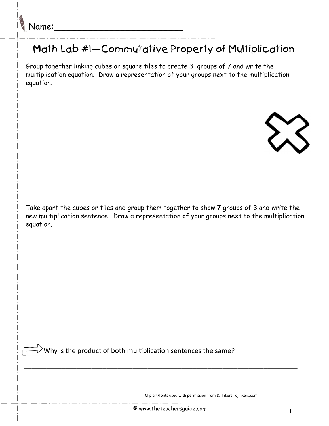## Math Lab #1—Commutative Property of Multiplication

Group together linking cubes or square tiles to create 3 groups of 7 and write the multiplication equation. Draw a representation of your groups next to the multiplication equation.



Take apart the cubes or tiles and group them together to show 7 groups of 3 and write the new multiplication sentence. Draw a representation of your groups next to the multiplication equation.

 $\alpha^2$  Why is the product of both multiplication sentences the same?  $\frac{1}{\alpha}$ 

Clip art/fonts used with permission from DJ Inkers djinkers.com

\_\_\_\_\_\_\_\_\_\_\_\_\_\_\_\_\_\_\_\_\_\_\_\_\_\_\_\_\_\_\_\_\_\_\_\_\_\_\_\_\_\_\_\_\_\_\_\_\_\_\_\_\_\_\_\_\_\_\_\_\_\_\_\_\_\_\_\_\_\_\_\_\_

\_\_\_\_\_\_\_\_\_\_\_\_\_\_\_\_\_\_\_\_\_\_\_\_\_\_\_\_\_\_\_\_\_\_\_\_\_\_\_\_\_\_\_\_\_\_\_\_\_\_\_\_\_\_\_\_\_\_\_\_\_\_\_\_\_\_\_\_\_\_\_\_\_